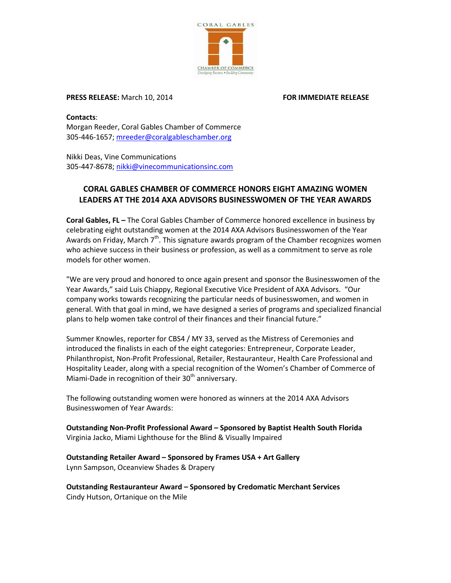

# **PRESS RELEASE:** March 10, 2014 **FOR IMMEDIATE RELEASE**

**Contacts**: Morgan Reeder, Coral Gables Chamber of Commerce 305-446-1657; [mreeder@coralgableschamber.org](mailto:mreeder@coralgableschamber.org)

Nikki Deas, Vine Communications 305-447-8678; [nikki@vinecommunicationsinc.com](mailto:nikki@vinecommunicationsinc.com)

# **CORAL GABLES CHAMBER OF COMMERCE HONORS EIGHT AMAZING WOMEN LEADERS AT THE 2014 AXA ADVISORS BUSINESSWOMEN OF THE YEAR AWARDS**

**Coral Gables, FL –** The Coral Gables Chamber of Commerce honored excellence in business by celebrating eight outstanding women at the 2014 AXA Advisors Businesswomen of the Year Awards on Friday, March 7<sup>th</sup>. This signature awards program of the Chamber recognizes women who achieve success in their business or profession, as well as a commitment to serve as role models for other women.

"We are very proud and honored to once again present and sponsor the Businesswomen of the Year Awards," said Luis Chiappy, Regional Executive Vice President of AXA Advisors. "Our company works towards recognizing the particular needs of businesswomen, and women in general. With that goal in mind, we have designed a series of programs and specialized financial plans to help women take control of their finances and their financial future."

Summer Knowles, reporter for CBS4 / MY 33, served as the Mistress of Ceremonies and introduced the finalists in each of the eight categories: Entrepreneur, Corporate Leader, Philanthropist, Non-Profit Professional, Retailer, Restauranteur, Health Care Professional and Hospitality Leader, along with a special recognition of the Women's Chamber of Commerce of Miami-Dade in recognition of their  $30<sup>th</sup>$  anniversary.

The following outstanding women were honored as winners at the 2014 AXA Advisors Businesswomen of Year Awards:

**Outstanding Non-Profit Professional Award – Sponsored by Baptist Health South Florida** Virginia Jacko, Miami Lighthouse for the Blind & Visually Impaired

**Outstanding Retailer Award – Sponsored by Frames USA + Art Gallery** Lynn Sampson, Oceanview Shades & Drapery

**Outstanding Restauranteur Award – Sponsored by Credomatic Merchant Services** Cindy Hutson, Ortanique on the Mile